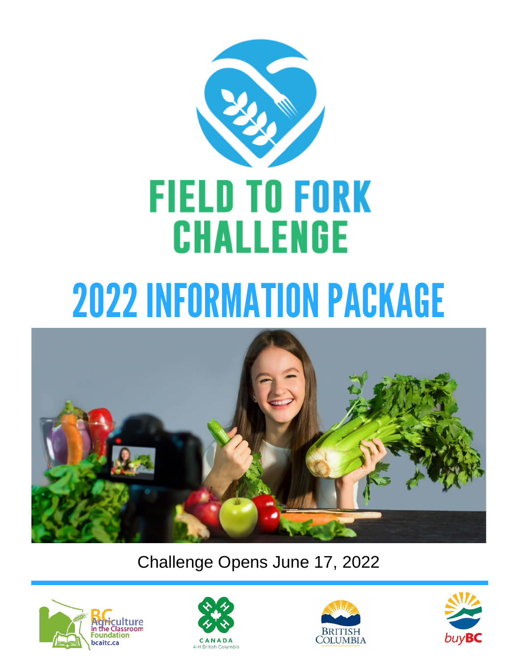



Challenge Opens June 17, 2022







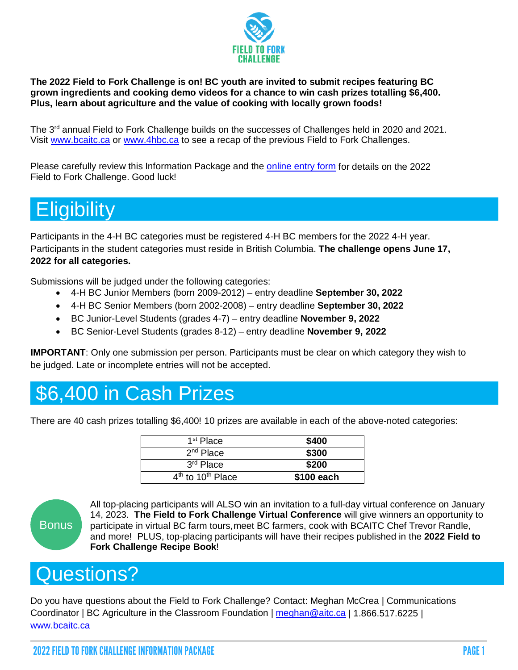

**The 2022 Field to Fork Challenge is on! BC youth are invited to submit recipes featuring BC grown ingredients and cooking demo videos for a chance to win cash prizes totalling \$6,400. Plus, learn about agriculture and the value of cooking with locally grown foods!**

The 3<sup>rd</sup> annual Field to Fork Challenge builds on the successes of Challenges held in 2020 and 2021. Visit [www.bcaitc.ca](http://www.bcaitc.ca/) or [www.4hbc.ca](http://www.4hbc.ca/) to see a recap of the previous Field to Fork Challenges.

Please carefully review this Information Package and the [online entry form](https://form.simplesurvey.com/f/s.aspx?s=917d3ad6-3326-4732-a67a-54c1ae4484ec) for details on the 2022 Field to Fork Challenge. Good luck!

## **Eligibility**

Participants in the 4-H BC categories must be registered 4-H BC members for the 2022 4-H year. Participants in the student categories must reside in British Columbia. **The challenge opens June 17, 2022 for all categories.**

Submissions will be judged under the following categories:

- 4-H BC Junior Members (born 2009-2012) entry deadline **September 30, 2022**
- 4-H BC Senior Members (born 2002-2008) entry deadline **September 30, 2022**
- BC Junior-Level Students (grades 4-7) entry deadline **November 9, 2022**
- BC Senior-Level Students (grades 8-12) entry deadline **November 9, 2022**

**IMPORTANT**: Only one submission per person. Participants must be clear on which category they wish to be judged. Late or incomplete entries will not be accepted.

## \$6,400 in Cash Prizes

There are 40 cash prizes totalling \$6,400! 10 prizes are available in each of the above-noted categories:

| 1 <sup>st</sup> Place                     | \$400      |
|-------------------------------------------|------------|
| 2 <sup>nd</sup> Place                     | \$300      |
| 3 <sup>rd</sup> Place                     | \$200      |
| 4 <sup>th</sup> to 10 <sup>th</sup> Place | \$100 each |



All top-placing participants will ALSO win an invitation to a full-day virtual conference on January 14, 2023. **The Field to Fork Challenge Virtual Conference** will give winners an opportunity to participate in virtual BC farm tours,meet BC farmers, cook with BCAITC Chef Trevor Randle, and more! PLUS, top-placing participants will have their recipes published in the **2022 Field to Fork Challenge Recipe Book**!

## Questions?

Do you have questions about the Field to Fork Challenge? Contact: Meghan McCrea | Communications Coordinator | BC Agriculture in the Classroom Foundation | [meghan@aitc.ca](mailto:meghan@aitc.ca) | 1.866.517.6225 | www.bcaitc.ca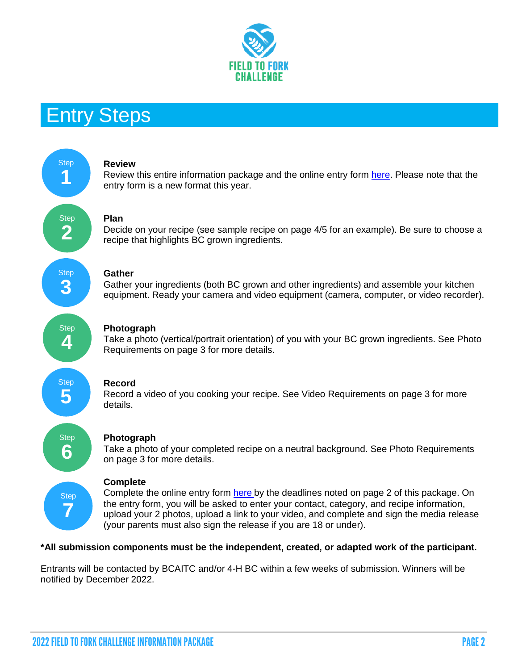

### Entry Steps



#### **\*All submission components must be the independent, created, or adapted work of the participant.**

Entrants will be contacted by BCAITC and/or 4-H BC within a few weeks of submission. Winners will be notified by December 2022.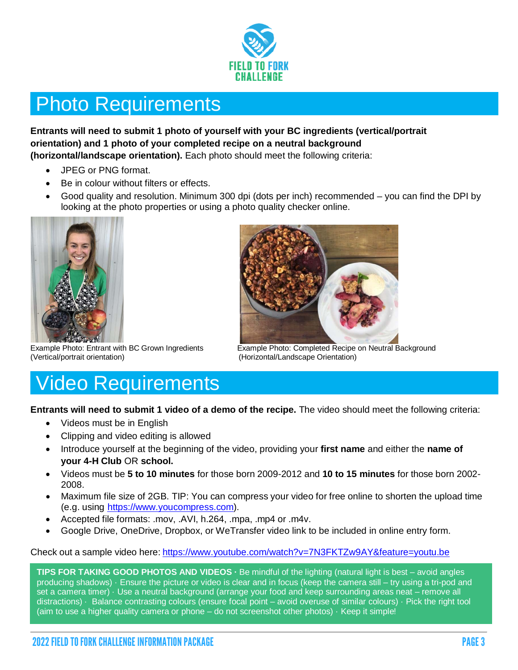

## Photo Requirements

#### **Entrants will need to submit 1 photo of yourself with your BC ingredients (vertical/portrait orientation) and 1 photo of your completed recipe on a neutral background**

**(horizontal/landscape orientation).** Each photo should meet the following criteria:

- JPEG or PNG format.
- Be in colour without filters or effects.
- Good quality and resolution. Minimum 300 dpi (dots per inch) recommended you can find the DPI by looking at the photo properties or using a photo quality checker online.





Example Photo: Entrant with BC Grown Ingredients Example Photo: Completed Recipe on Neutral Background<br>(Horizontal/Landscape Orientation) (Horizontal/Landscape Orientation)

## Video Requirements

**Entrants will need to submit 1 video of a demo of the recipe.** The video should meet the following criteria:

- Videos must be in English
- Clipping and video editing is allowed
- Introduce yourself at the beginning of the video, providing your **first name** and either the **name of your 4-H Club** OR **school.**
- Videos must be **5 to 10 minutes** for those born 2009-2012 and **10 to 15 minutes** for those born 2002- 2008.
- Maximum file size of 2GB. TIP: You can compress your video for free online to shorten the upload time (e.g. using [https://www.youcompress.com\)](https://www.youcompress.com/).
- Accepted file formats: .mov, .AVI, h.264, .mpa, .mp4 or .m4v.
- Google Drive, OneDrive, Dropbox, or WeTransfer video link to be included in online entry form.

Check out a sample video here: <https://www.youtube.com/watch?v=7N3FKTZw9AY&feature=youtu.be>

**TIPS FOR TAKING GOOD PHOTOS AND VIDEOS ·** Be mindful of the lighting (natural light is best – avoid angles producing shadows) · Ensure the picture or video is clear and in focus (keep the camera still – try using a tri-pod and set a camera timer) · Use a neutral background (arrange your food and keep surrounding areas neat – remove all distractions) · Balance contrasting colours (ensure focal point – avoid overuse of similar colours) · Pick the right tool (aim to use a higher quality camera or phone – do not screenshot other photos) · Keep it simple!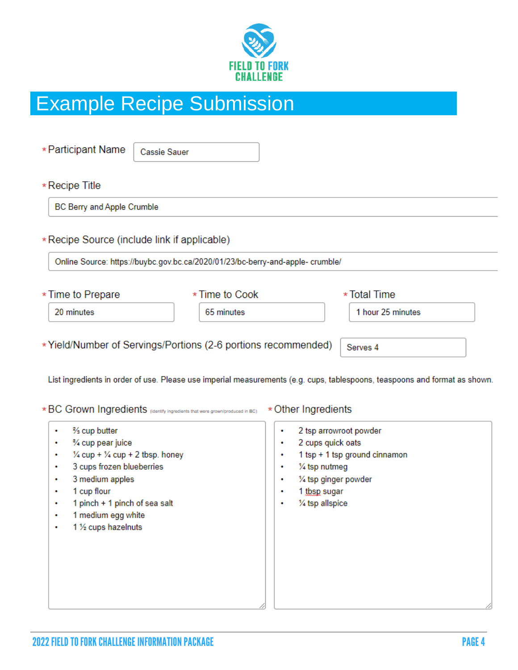

# Example Recipe Submission

| * Participant Name         | Cassie Sauer                                                                   |                     |                                                                                                                            |  |
|----------------------------|--------------------------------------------------------------------------------|---------------------|----------------------------------------------------------------------------------------------------------------------------|--|
| $*$ Recipe Title           |                                                                                |                     |                                                                                                                            |  |
| BC Berry and Apple Crumble |                                                                                |                     |                                                                                                                            |  |
|                            | *Recipe Source (include link if applicable)                                    |                     |                                                                                                                            |  |
|                            | Online Source: https://buybc.gov.bc.ca/2020/01/23/bc-berry-and-apple- crumble/ |                     |                                                                                                                            |  |
| * Time to Prepare          | * Time to Cook                                                                 |                     | * Total Time                                                                                                               |  |
| 20 minutes                 | 65 minutes                                                                     |                     | 1 hour 25 minutes                                                                                                          |  |
|                            | *Yield/Number of Servings/Portions (2-6 portions recommended)                  |                     | Serves <sub>4</sub>                                                                                                        |  |
|                            |                                                                                |                     | List ingredients in order of use. Please use imperial measurements (e.g. cups, tablespoons, teaspoons and format as shown. |  |
|                            | * BC Grown Ingredients (identity ingradiants that were grown/produced in BC)   | * Other Ingredients |                                                                                                                            |  |

- % cup butter  $\bullet$
- % cup pear juice  $\bullet$
- $\frac{1}{4}$  cup +  $\frac{1}{4}$  cup + 2 tbsp. honey  $\bullet$
- 3 cups frozen blueberries  $\bullet$
- $\bullet$ 3 medium apples
- 1 cup flour  $\bullet$
- 1 pinch + 1 pinch of sea salt ÷
- 1 medium egg white  $\bullet$
- 1 1/2 cups hazelnuts  $\bullet$
- 2 tsp arrowroot powder  $\bullet$
- 2 cups quick oats  $\bullet$
- 1 tsp + 1 tsp ground cinnamon  $\bullet$
- 1/4 tsp nutmeg  $\bullet$
- 1/4 tsp ginger powder  $\bullet$
- 1 tbsp sugar ٠
- 1/4 tsp allspice  $\bullet$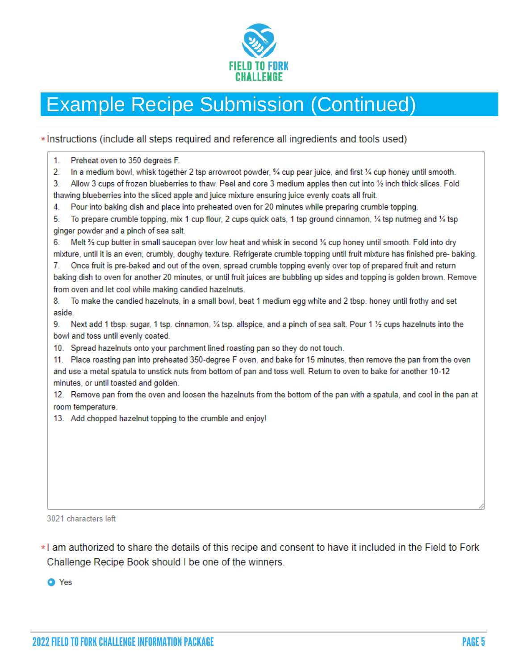

# Example Recipe Submission (Continued)

\*Instructions (include all steps required and reference all ingredients and tools used)

| In a medium bowl, whisk together 2 tsp arrowroot powder, % cup pear juice, and first % cup honey until smooth.<br>2.<br>Allow 3 cups of frozen blueberries to thaw. Peel and core 3 medium apples then cut into 1/2 inch thick slices. Fold<br>Pour into baking dish and place into preheated oven for 20 minutes while preparing crumble topping.<br>To prepare crumble topping, mix 1 cup flour, 2 cups quick oats, 1 tsp ground cinnamon, 1/4 tsp nutmeg and 1/4 tsp<br>Melt % cup butter in small saucepan over low heat and whisk in second % cup honey until smooth. Fold into dry |
|------------------------------------------------------------------------------------------------------------------------------------------------------------------------------------------------------------------------------------------------------------------------------------------------------------------------------------------------------------------------------------------------------------------------------------------------------------------------------------------------------------------------------------------------------------------------------------------|
| 3.                                                                                                                                                                                                                                                                                                                                                                                                                                                                                                                                                                                       |
| thawing blueberries into the sliced apple and juice mixture ensuring juice evenly coats all fruit.<br>4.<br>5.<br>ginger powder and a pinch of sea salt.<br>6.                                                                                                                                                                                                                                                                                                                                                                                                                           |
|                                                                                                                                                                                                                                                                                                                                                                                                                                                                                                                                                                                          |
|                                                                                                                                                                                                                                                                                                                                                                                                                                                                                                                                                                                          |
|                                                                                                                                                                                                                                                                                                                                                                                                                                                                                                                                                                                          |
|                                                                                                                                                                                                                                                                                                                                                                                                                                                                                                                                                                                          |
|                                                                                                                                                                                                                                                                                                                                                                                                                                                                                                                                                                                          |
| mixture, until it is an even, crumbly, doughy texture. Refrigerate crumble topping until fruit mixture has finished pre-baking.                                                                                                                                                                                                                                                                                                                                                                                                                                                          |
| Once fruit is pre-baked and out of the oven, spread crumble topping evenly over top of prepared fruit and return<br>7.                                                                                                                                                                                                                                                                                                                                                                                                                                                                   |
| baking dish to oven for another 20 minutes, or until fruit juices are bubbling up sides and topping is golden brown. Remove                                                                                                                                                                                                                                                                                                                                                                                                                                                              |
| from oven and let cool while making candied hazelnuts.                                                                                                                                                                                                                                                                                                                                                                                                                                                                                                                                   |
| To make the candied hazelnuts, in a small bowl, beat 1 medium egg white and 2 tbsp. honey until frothy and set<br>8.                                                                                                                                                                                                                                                                                                                                                                                                                                                                     |
| aside.                                                                                                                                                                                                                                                                                                                                                                                                                                                                                                                                                                                   |
| Next add 1 tbsp. sugar, 1 tsp. cinnamon, ¼ tsp. allspice, and a pinch of sea salt. Pour 1 ½ cups hazelnuts into the<br>9.                                                                                                                                                                                                                                                                                                                                                                                                                                                                |
| bowl and toss until evenly coated.                                                                                                                                                                                                                                                                                                                                                                                                                                                                                                                                                       |
| 10. Spread hazelnuts onto your parchment lined roasting pan so they do not touch.                                                                                                                                                                                                                                                                                                                                                                                                                                                                                                        |
| 11. Place roasting pan into preheated 350-degree F oven, and bake for 15 minutes, then remove the pan from the oven                                                                                                                                                                                                                                                                                                                                                                                                                                                                      |
| and use a metal spatula to unstick nuts from bottom of pan and toss well. Return to oven to bake for another 10-12                                                                                                                                                                                                                                                                                                                                                                                                                                                                       |
| minutes, or until toasted and golden.                                                                                                                                                                                                                                                                                                                                                                                                                                                                                                                                                    |
| 12. Remove pan from the oven and loosen the hazelnuts from the bottom of the pan with a spatula, and cool in the pan at                                                                                                                                                                                                                                                                                                                                                                                                                                                                  |
| room temperature.                                                                                                                                                                                                                                                                                                                                                                                                                                                                                                                                                                        |
| 13. Add chopped hazelnut topping to the crumble and enjoy!                                                                                                                                                                                                                                                                                                                                                                                                                                                                                                                               |
|                                                                                                                                                                                                                                                                                                                                                                                                                                                                                                                                                                                          |
|                                                                                                                                                                                                                                                                                                                                                                                                                                                                                                                                                                                          |
|                                                                                                                                                                                                                                                                                                                                                                                                                                                                                                                                                                                          |
|                                                                                                                                                                                                                                                                                                                                                                                                                                                                                                                                                                                          |
|                                                                                                                                                                                                                                                                                                                                                                                                                                                                                                                                                                                          |
|                                                                                                                                                                                                                                                                                                                                                                                                                                                                                                                                                                                          |

3021 characters left

\*I am authorized to share the details of this recipe and consent to have it included in the Field to Fork Challenge Recipe Book should I be one of the winners.

**O** Yes

⊿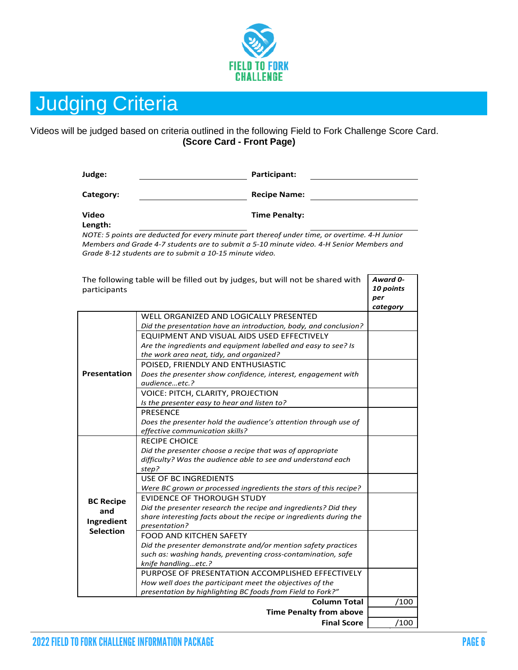

## Judging Criteria

#### Videos will be judged based on criteria outlined in the following Field to Fork Challenge Score Card. **(Score Card - Front Page)**

| Judge: | Participant: |  |
|--------|--------------|--|
|        |              |  |

Category: **Category: Recipe Name: Recipe Name: Recipe Name: Recipe Name: Recipe Name: Recipe Name: Recipe Name: Recipe Name: Recipe Name: Recipe Name: Recipe Name: Recipe Name: Recipe Name: Reci** 

**Video** 

**Time Penalty:**

**Length:**

*NOTE: 5 points are deducted for every minute part thereof under time, or overtime. 4-H Junior Members and Grade 4-7 students are to submit a 5-10 minute video. 4-H Senior Members and Grade 8-12 students are to submit a 10-15 minute video.*

| participants                                              | The following table will be filled out by judges, but will not be shared with                                                                                                                                                                                                                                                                                                                                                                                                                                                                                                                                                                                                                                                                                                                                                         | Award 0-<br>10 points<br>per<br>category |
|-----------------------------------------------------------|---------------------------------------------------------------------------------------------------------------------------------------------------------------------------------------------------------------------------------------------------------------------------------------------------------------------------------------------------------------------------------------------------------------------------------------------------------------------------------------------------------------------------------------------------------------------------------------------------------------------------------------------------------------------------------------------------------------------------------------------------------------------------------------------------------------------------------------|------------------------------------------|
| <b>Presentation</b>                                       | WELL ORGANIZED AND LOGICALLY PRESENTED<br>Did the presentation have an introduction, body, and conclusion?<br>EQUIPMENT AND VISUAL AIDS USED EFFECTIVELY<br>Are the ingredients and equipment labelled and easy to see? Is<br>the work area neat, tidy, and organized?<br>POISED, FRIENDLY AND ENTHUSIASTIC<br>Does the presenter show confidence, interest, engagement with<br>qudienceetc.?<br>VOICE: PITCH, CLARITY, PROJECTION<br>Is the presenter easy to hear and listen to?<br><b>PRESENCE</b><br>Does the presenter hold the audience's attention through use of<br>effective communication skills?                                                                                                                                                                                                                           |                                          |
| <b>BC Recipe</b><br>and<br>Ingredient<br><b>Selection</b> | <b>RECIPE CHOICE</b><br>Did the presenter choose a recipe that was of appropriate<br>difficulty? Was the audience able to see and understand each<br>step?<br><b>USE OF BC INGREDIENTS</b><br>Were BC grown or processed ingredients the stars of this recipe?<br><b>EVIDENCE OF THOROUGH STUDY</b><br>Did the presenter research the recipe and ingredients? Did they<br>share interesting facts about the recipe or ingredients during the<br>presentation?<br><b>FOOD AND KITCHEN SAFETY</b><br>Did the presenter demonstrate and/or mention safety practices<br>such as: washing hands, preventing cross-contamination, safe<br>knife handlingetc.?<br>PURPOSE OF PRESENTATION ACCOMPLISHED EFFECTIVELY<br>How well does the participant meet the objectives of the<br>presentation by highlighting BC foods from Field to Fork?" |                                          |
|                                                           | <b>Column Total</b>                                                                                                                                                                                                                                                                                                                                                                                                                                                                                                                                                                                                                                                                                                                                                                                                                   | /100                                     |
|                                                           | <b>Time Penalty from above</b><br><b>Final Score</b>                                                                                                                                                                                                                                                                                                                                                                                                                                                                                                                                                                                                                                                                                                                                                                                  | /100                                     |